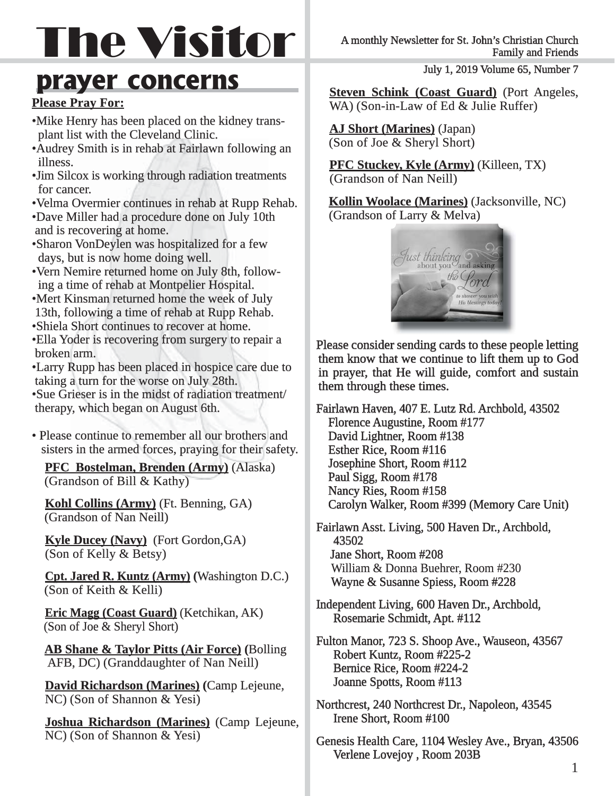# The Visitor

### **prayer concerns**

#### **Please Pray For:**

- Mike Henry has been placed on the kidney trans plant list with the Cleveland Clinic.
- Audrey Smith is in rehab at Fairlawn following an illness. illness.
- Jim Silcox is working through radiation treatments for cancer.
- Velma Overmier continues in rehab at Rupp Rehab.
- Dave Miller had a procedure done on July 10th and is recovering at home.
- Sharon VonDeylen was hospitalized for a few days, but is now home doing well.
- Vern Nemire returned home on July 8th, follow ing a time of rehab at Montpelier Hospital.
- Mert Kinsman returned home the week of July 13th, following a time of rehab at Rupp Rehab.
- Shiela Short continues to recover at home.
- Ella Yoder is recovering from surgery to repair a broken arm.
- Larry Rupp has been placed in hospice care due to taking a turn for the worse on July 28th.
- Sue Grieser is in the midst of radiation treatment/ therapy, which began on August 6th.
- Please continue to remember all our brothers and sisters in the armed forces, praying for their safety.

**PFC Bostelman, Brenden (Army) (Alaska)** (Grandson of Bill  $&$  Kathy)

**Kohl Collins (Army)** (Ft. Benning, GA) (Grandson of Nan Neill)

**Kyle Ducey (Navy)** (Fort Gordon,GA) (Son of Kelly  $& Betsy$ )

**Cpt. Jared R. Kuntz (Army) (Washington D.C.)** (Son of Keith  $&$  Kelli)

**Eric Magg (Coast Guard)** (Ketchikan, AK)  $($ Son of Joe  $\&$  Sheryl Short)

**AB Shane & Taylor Pitts (Air Force) (Bolling** AFB, DC) (Granddaughter of Nan Neill)

**David Richardson (Marines) (Camp Lejeune,** NC) (Son of Shannon & Yesi)

**Joshua Richardson (Marines)** (Camp Lejeune, NC) (Son of Shannon & Yesi)

July 1, 2019 Volume 65, Number 7

**Steven Schink (Coast Guard)** (Port Angeles, WA) (Son-in-Law of Ed  $&$  Julie Ruffer)

**AJ Short (Marines)** (Japan) (Son of Joe & Sheryl Short)

**PFC Stuckey, Kyle (Army)** (Killeen, TX) (Grandson of Nan Neill)

**Kollin Woolace (Marines)** (Jacksonville, NC) (Grandson of Larry & Melva)



Please consider sending cards to these people letting them know that we continue to lift them up to God in prayer, that He will guide, comfort and sustain them through these times.

Fairlawn Haven, 407 E. Lutz Rd. Archbold, 43502 Florence Augustine, Room #177 David Lightner, Room #138 Esther Rice, Room #116 Josephine Short, Room #112 Paul Sigg, Room #178 Nancy Ries, Room #158 Carolyn Walker, Room #399 (Memory Care Unit)

Fairlawn Asst. Living, 500 Haven Dr., Archbold, 43502 Jane Short, Room #208 William & Donna Buehrer, Room #230 Wayne & Susanne Spiess, Room #228

- Independent Living, 600 Haven Dr., Archbold, Rosemarie Schmidt, Apt. #112
- Fulton Manor, 723 S. Shoop Ave., Wauseon, 43567 Robert Kuntz, Room #225-2 Bernice Rice, Room #224-2 Joanne Spotts, Room #113
- Northcrest, 240 Northcrest Dr., Napoleon, 43545 Irene Short, Room #100
- Genesis Health Care, 1104 Wesley Ave., Bryan, 43506 Verlene Lovejoy , Room 203B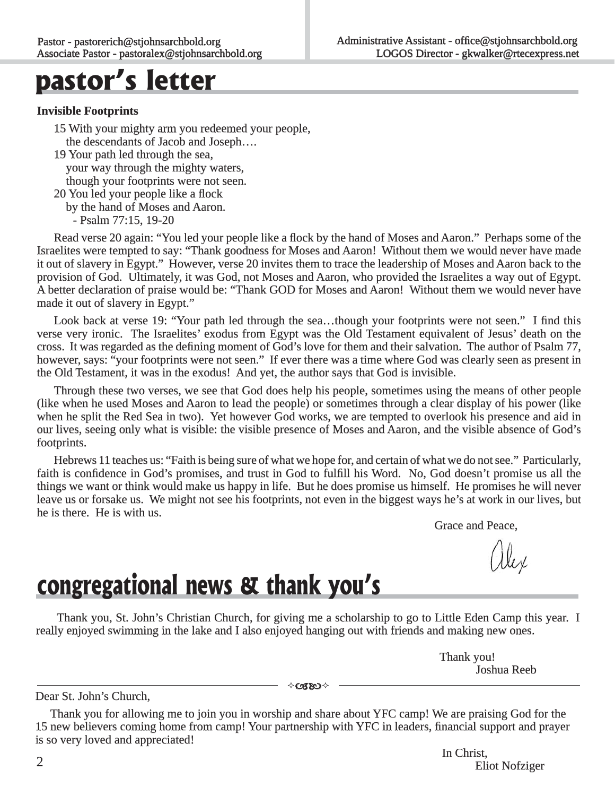### **pastor's letter**

#### **Invisible Footprints nvisible**

- 15 With your mighty arm you redeemed your people, 5 the descendants of Jacob and Joseph....
- 19 Your path led through the sea, 9 your way through the mighty waters, though your footprints were not seen.
- 20 You led your people like a flock

by the hand of Moses and Aaron.

- Psalm 77:15, 19-20

Read verse 20 again: "You led your people like a flock by the hand of Moses and Aaron." Perhaps some of the Israelites were tempted to say: "Thank goodness for Moses and Aaron! Without them we would never have made it out of slavery in Egypt." However, verse 20 invites them to trace the leadership of Moses and Aaron back to the t provision of God. Ultimately, it was God, not Moses and Aaron, who provided the Israelites a way out of Egypt. A better declaration of praise would be: "Thank GOD for Moses and Aaron! Without them we would never have made it out of slavery in Egypt."

Look back at verse 19: "Your path led through the sea...though your footprints were not seen." I find this verse very ironic. The Israelites' exodus from Egypt was the Old Testament equivalent of Jesus' death on the cross. It was regarded as the defining moment of God's love for them and their salvation. The author of Psalm 77, however, says: "your footprints were not seen." If ever there was a time where God was clearly seen as present in the Old Testament, it was in the exodus! And yet, the author says that God is invisible. he

Through these two verses, we see that God does help his people, sometimes using the means of other people (like when he used Moses and Aaron to lead the people) or sometimes through a clear display of his power (like like when he split the Red Sea in two). Yet however God works, we are tempted to overlook his presence and aid in our lives, seeing only what is visible: the visible presence of Moses and Aaron, and the visible absence of God's footprints.

Hebrews 11 teaches us: "Faith is being sure of what we hope for, and certain of what we do not see." Particularly, faith is confidence in God's promises, and trust in God to fulfill his Word. No, God doesn't promise us all the things we want or think would make us happy in life. But he does promise us himself. He promises he will never leave us or forsake us. We might not see his footprints, not even in the biggest ways he's at work in our lives, but he is there. He is with us.

Grace and Peace,

### **congregational news & thank you's**

Thank you, St. John's Christian Church, for giving me a scholarship to go to Little Eden Camp this year. I really enjoyed swimming in the lake and I also enjoyed hanging out with friends and making new ones.

> Thank you! Joshua Reeb

Dear St. John's Church,

 Thank you for allowing me to join you in worship and share about YFC camp! We are praising God for the 15 new believers coming home from camp! Your partnership with YFC in leaders, financial support and prayer is so very loved and appreciated!

∻c38O⊹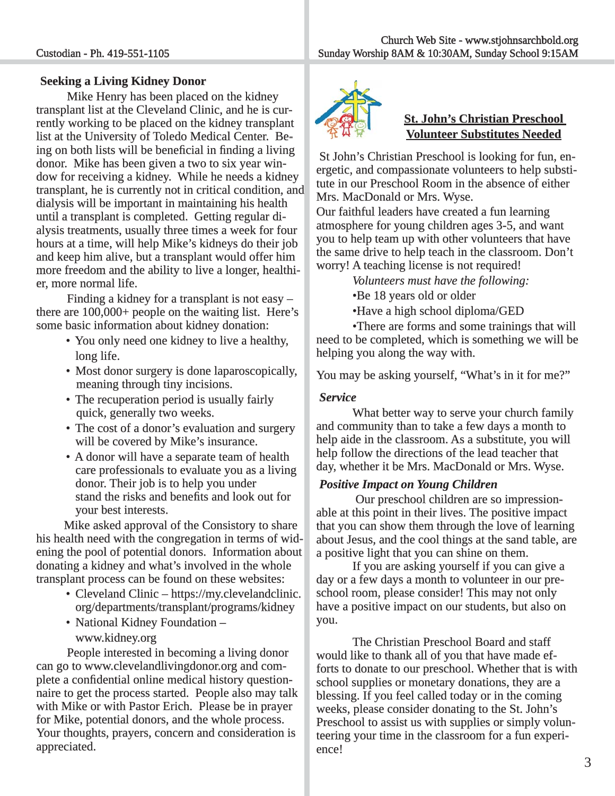#### **Seeking a Living Kidney Donor**

Mike Henry has been placed on the kidney transplant list at the Cleveland Clinic, and he is currently working to be placed on the kidney transplant list at the University of Toledo Medical Center. Being on both lists will be beneficial in finding a living donor. Mike has been given a two to six year window for receiving a kidney. While he needs a kidney transplant, he is currently not in critical condition, and dialysis will be important in maintaining his health until a transplant is completed. Getting regular dialysis treatments, usually three times a week for four hours at a time, will help Mike's kidneys do their job and keep him alive, but a transplant would offer him more freedom and the ability to live a longer, healthier, more normal life.

 Finding a kidney for a transplant is not easy – there are  $100,000+$  people on the waiting list. Here's some basic information about kidney donation:

- You only need one kidney to live a healthy, long life.
- Most donor surgery is done laparoscopically, meaning through tiny incisions.
- The recuperation period is usually fairly quick, generally two weeks.
- The cost of a donor's evaluation and surgery will be covered by Mike's insurance.
- A donor will have a separate team of health care professionals to evaluate you as a living donor. Their job is to help you under stand the risks and benefits and look out for your best interests.

 Mike asked approval of the Consistory to share his health need with the congregation in terms of widening the pool of potential donors. Information about ning donating a kidney and what's involved in the whole transplant process can be found on these websites:

- Cleveland Clinic https://my.clevelandclinic. org/departments/transplant/programs/kidney
- National Kidney Foundation www.kidney.org

 People interested in becoming a living donor can go to www.clevelandlivingdonor.org and complete a confidential online medical history questionnaire to get the process started. People also may talk with Mike or with Pastor Erich. Please be in prayer for Mike, potential donors, and the whole process. Your thoughts, prayers, concern and consideration is appreciated.



#### **St. John's Christian Preschool Volunteer Substitutes Needed olunteer**

St John's Christian Preschool is looking for fun, energetic, and compassionate volunteers to help substitute in our Preschool Room in the absence of either Mrs. MacDonald or Mrs. Wyse.

Our faithful leaders have created a fun learning atmosphere for young children ages 3-5, and want you to help team up with other volunteers that have the same drive to help teach in the classroom. Don't worry! A teaching license is not required!

*Volunteers must have the following:* 

•Be 18 years old or older

•Have a high school diploma/GED

 •There are forms and some trainings that will need to be completed, which is something we will be helping you along the way with.

You may be asking yourself, "What's in it for me?"

#### *Service*

 What better way to serve your church family and community than to take a few days a month to help aide in the classroom. As a substitute, you will help follow the directions of the lead teacher that day, whether it be Mrs. MacDonald or Mrs. Wyse.

#### *Positive Impact on Young Children ositive*

Our preschool children are so impressionable at this point in their lives. The positive impact that you can show them through the love of learning about Jesus, and the cool things at the sand table, are a positive light that you can shine on them.

If you are asking yourself if you can give a day or a few days a month to volunteer in our preschool room, please consider! This may not only have a positive impact on our students, but also on you.

 The Christian Preschool Board and staff would like to thank all of you that have made efforts to donate to our preschool. Whether that is with school supplies or monetary donations, they are a blessing. If you feel called today or in the coming weeks, please consider donating to the St. John's Preschool to assist us with supplies or simply volunteering your time in the classroom for a fun experience!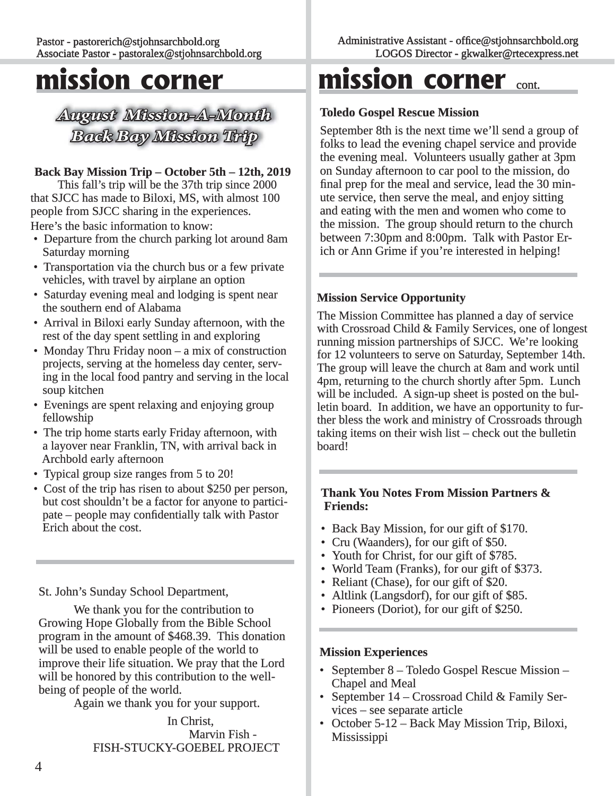### **mission corner**

*August Mission-A-Month ugust Back Bay Mission Trip ack* 

#### **Back Bay Mission Trip – October 5th – 12th, 2019**

This fall's trip will be the 37th trip since 2000 that SJCC has made to Biloxi, MS, with almost 100 people from SJCC sharing in the experiences. Here's the basic information to know:

- Departure from the church parking lot around 8am Saturday morning
- Transportation via the church bus or a few private vehicles, with travel by airplane an option
- Saturday evening meal and lodging is spent near the southern end of Alabama
- Arrival in Biloxi early Sunday afternoon, with the rest of the day spent settling in and exploring
- Monday Thru Friday noon a mix of construction projects, serving at the homeless day center, serv ing in the local food pantry and serving in the local soup kitchen
- Evenings are spent relaxing and enjoying group fellowship fellowship
- The trip home starts early Friday afternoon, with a layover near Franklin, TN, with arrival back in Archbold early afternoon
- Typical group size ranges from 5 to 20!
- Cost of the trip has risen to about \$250 per person, but cost shouldn't be a factor for anyone to partici $p$ ate – people may confidentially talk with Pastor Erich about the cost.

#### St. John's Sunday School Department,

 We thank you for the contribution to Growing Hope Globally from the Bible School program in the amount of \$468.39. This donation will be used to enable people of the world to improve their life situation. We pray that the Lord will be honored by this contribution to the wellbeing of people of the world.

Again we thank you for your support.

 In Christ, Marvin Fish - FISH-STUCKY-GOEBEL PROJECT

### **mission corner** cont.

#### **Toledo Gospel Rescue Mission oledo**

September 8th is the next time we'll send a group of folks to lead the evening chapel service and provide the evening meal. Volunteers usually gather at 3pm on Sunday afternoon to car pool to the mission, do n final prep for the meal and service, lead the 30 minute service, then serve the meal, and enjoy sitting and eating with the men and women who come to the mission. The group should return to the church between 7:30pm and 8:00pm. Talk with Pastor Erich or Ann Grime if you're interested in helping!

#### **Mission Service Opportunity ission**

The Mission Committee has planned a day of service with Crossroad Child  $&$  Family Services, one of longest running mission partnerships of SJCC. We're looking for 12 volunteers to serve on Saturday, September 14th. The group will leave the church at 8am and work until 4pm, returning to the church shortly after 5pm. Lunch will be included. A sign-up sheet is posted on the bulletin board. In addition, we have an opportunity to further bless the work and ministry of Crossroads through taking items on their wish list  $-\text{check}$  out the bulletin board!

#### **Thank You Notes From Mission Partners & Friends:**

- Back Bay Mission, for our gift of \$170.
- Cru (Waanders), for our gift of  $$50.$
- Youth for Christ, for our gift of \$785.
- World Team (Franks), for our gift of \$373.
- Reliant (Chase), for our gift of \$20.
- Altlink (Langsdorf), for our gift of  $$85$ .
- Pioneers (Doriot), for our gift of  $$250$ .

#### **Mission Experiences ission**

- September 8 Toledo Gospel Rescue Mission Chapel and Meal
- September  $14$  Crossroad Child & Family Ser $vices - see separate article$
- October 5-12 Back May Mission Trip, Biloxi, Mississippi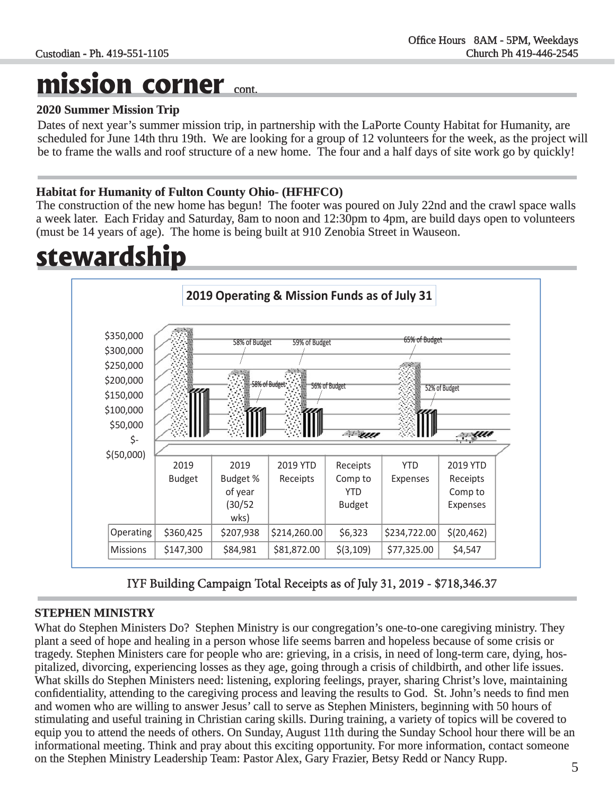### **mission corner** cont.

#### **2020 Summer Mission Trip 020**

Dates of next year's summer mission trip, in partnership with the LaPorte County Habitat for Humanity, are scheduled for June 14th thru 19th. We are looking for a group of 12 volunteers for the week, as the project will be to frame the walls and roof structure of a new home. The four and a half days of site work go by quickly!

#### **Habitat for Humanity of Fulton County Ohio- (HFHFCO) abitat**

The construction of the new home has begun! The footer was poured on July 22nd and the crawl space walls a week later. Each Friday and Saturday, 8am to noon and 12:30pm to 4pm, are build days open to volunteers (must be 14 years of age). The home is being built at 910 Zenobia Street in Wauseon.

### **stewardship**



IYF Building Campaign Total Receipts as of July 31, 2019 - \$718,346.37

#### **STEPHEN MINISTRY**

What do Stephen Ministers Do? Stephen Ministry is our congregation's one-to-one caregiving ministry. They plant a seed of hope and healing in a person whose life seems barren and hopeless because of some crisis or tragedy. Stephen Ministers care for people who are: grieving, in a crisis, in need of long-term care, dying, hospitalized, divorcing, experiencing losses as they age, going through a crisis of childbirth, and other life issues. What skills do Stephen Ministers need: listening, exploring feelings, prayer, sharing Christ's love, maintaining confidentiality, attending to the caregiving process and leaving the results to God. St. John's needs to find men and women who are willing to answer Jesus' call to serve as Stephen Ministers, beginning with 50 hours of stimulating and useful training in Christian caring skills. During training, a variety of topics will be covered to equip you to attend the needs of others. On Sunday, August 11th during the Sunday School hour there will be an informational meeting. Think and pray about this exciting opportunity. For more information, contact someone on the Stephen Ministry Leadership Team: Pastor Alex, Gary Frazier, Betsy Redd or Nancy Rupp.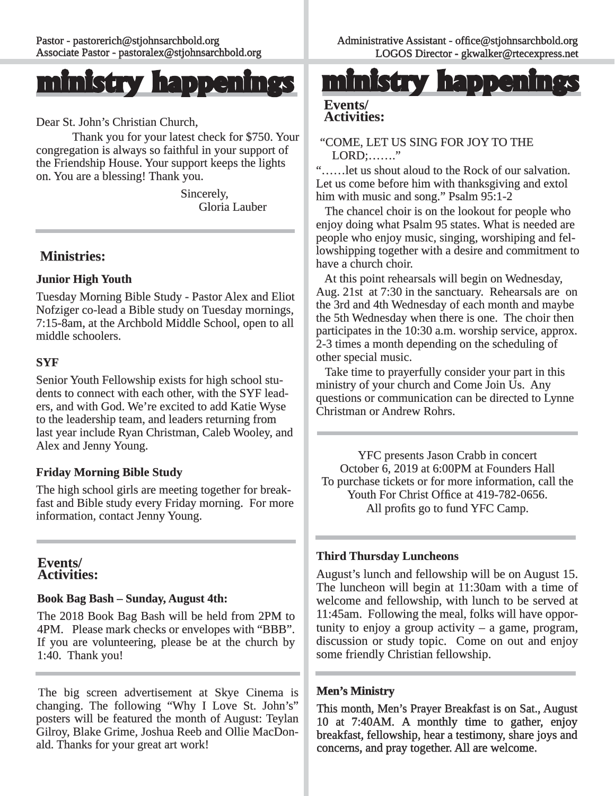

Dear St. John's Christian Church,

Thank you for your latest check for \$750. Your congregation is always so faithful in your support of the Friendship House. Your support keeps the lights on. You are a blessing! Thank you.

> Sincerely, Gloria Lauber

#### **Ministries: inistries:**

#### **Junior High Youth unior**

Tuesday Morning Bible Study - Pastor Alex and Eliot Nofziger co-lead a Bible study on Tuesday mornings, 7:15-8am, at the Archbold Middle School, open to all middle schoolers.

#### **SYF**

Senior Youth Fellowship exists for high school students to connect with each other, with the SYF leaders, and with God. We're excited to add Katie Wyse to the leadership team, and leaders returning from last year include Ryan Christman, Caleb Wooley, and Alex and Jenny Young.

#### **Friday Morning Bible Study**

The high school girls are meeting together for breakfast and Bible study every Friday morning. For more information, contact Jenny Young.

#### **Events/ Activities: ctivities:**

#### **Book Bag Bash – Sunday, August 4th: ook**

The 2018 Book Bag Bash will be held from 2PM to 4PM. Please mark checks or envelopes with "BBB". If you are volunteering, please be at the church by 1:40. Thank you!

The big screen advertisement at Skye Cinema is changing. The following "Why I Love St. John's" posters will be featured the month of August: Teylan Gilroy, Blake Grime, Joshua Reeb and Ollie MacDonald. Thanks for your great art work!

**ministry happening** 

#### **Events/ Activities: ctivities:**

#### "COME, LET US SING FOR JOY TO THE  $LORD: \ldots$ ..."

 "……let us shout aloud to the Rock of our salvation. ……let Let us come before him with thanksgiving and extol him with music and song." Psalm 95:1-2

The chancel choir is on the lookout for people who enjoy doing what Psalm 95 states. What is needed are people who enjoy music, singing, worshiping and fellowshipping together with a desire and commitment to have a church choir.

 At this point rehearsals will begin on Wednesday, Aug.  $21st$  at  $7:30$  in the sanctuary. Rehearsals are on the 3rd and 4th Wednesday of each month and maybe the 5th Wednesday when there is one. The choir then participates in the  $10:30$  a.m. worship service, approx. 2-3 times a month depending on the scheduling of other special music.

 Take time to prayerfully consider your part in this ministry of your church and Come Join Us. Any questions or communication can be directed to Lynne Christman or Andrew Rohrs.

YFC presents Jason Crabb in concert October 6, 2019 at 6:00PM at Founders Hall To purchase tickets or for more information, call the Youth For Christ Office at 419-782-0656. All profits go to fund YFC Camp.

#### **Third Thursday Luncheons hird**

August's lunch and fellowship will be on August 15. The luncheon will begin at  $11:30$ am with a time of welcome and fellowship, with lunch to be served at 11:45am. Following the meal, folks will have opportunity to enjoy a group activity  $-$  a game, program, discussion or study topic. Come on out and enjoy some friendly Christian fellowship.

#### **Men's Ministry**

This month, Men's Prayer Breakfast is on Sat., August 10 at 7:40AM. A monthly time to gather, enjoy breakfast, fellowship, hear a testimony, share joys and concerns, and pray together. All are welcome.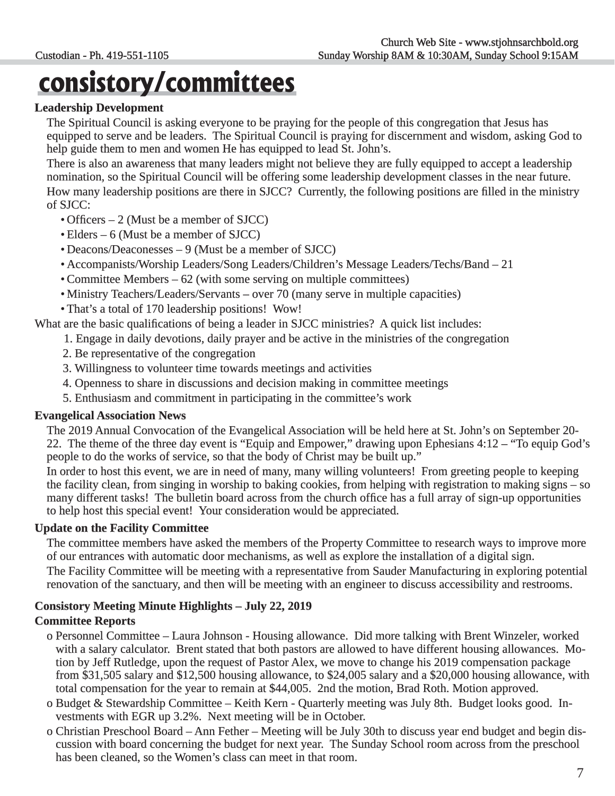## **consistory/committees**

#### **Leadership Development**

 The Spiritual Council is asking everyone to be praying for the people of this congregation that Jesus has equipped to serve and be leaders. The Spiritual Council is praying for discernment and wisdom, asking God to help guide them to men and women He has equipped to lead St. John's.

There is also an awareness that many leaders might not believe they are fully equipped to accept a leadership nomination, so the Spiritual Council will be offering some leadership development classes in the near future. How many leadership positions are there in SJCC? Currently, the following positions are filled in the ministry of SJCC:

- $\bullet$  Officers  $-2$  (Must be a member of SJCC)
- $\bullet$  Elders 6 (Must be a member of SJCC)
- $\bullet$  Deacons/Deaconesses  $-9$  (Must be a member of SJCC)
- Accompanists/Worship Leaders/Song Leaders/Children's Message Leaders/Techs/Band 21 21
- Committee Members  $-62$  (with some serving on multiple committees)
- Ministry Teachers/Leaders/Servants over 70 (many serve in multiple capacities)
- That's a total of 170 leadership positions! Wow!

What are the basic qualifications of being a leader in SJCC ministries? A quick list includes:

- 1. Engage in daily devotions, daily prayer and be active in the ministries of the congregation
- 2. Be representative of the congregation
- 3. Willingness to volunteer time towards meetings and activities
- 4. Openness to share in discussions and decision making in committee meetings
- 5. Enthusiasm and commitment in participating in the committee's work

#### **Evangelical Association News**

The 2019 Annual Convocation of the Evangelical Association will be held here at St. John's on September 20-22. The theme of the three day event is "Equip and Empower," drawing upon Ephesians  $4:12 -$  "To equip God's people to do the works of service, so that the body of Christ may be built up."

 In order to host this event, we are in need of many, many willing volunteers! From greeting people to keeping the facility clean, from singing in worship to baking cookies, from helping with registration to making signs – so many different tasks! The bulletin board across from the church office has a full array of sign-up opportunities to help host this special event! Your consideration would be appreciated.

#### **Update on the Facility Committee**

The committee members have asked the members of the Property Committee to research ways to improve more of our entrances with automatic door mechanisms, as well as explore the installation of a digital sign.

The Facility Committee will be meeting with a representative from Sauder Manufacturing in exploring potential renovation of the sanctuary, and then will be meeting with an engineer to discuss accessibility and restrooms.

#### **Consistory Meeting Minute Highlights – July 22, 2019 onsistory**

#### **Committee Reports ommittee**

- o Personnel Committee Laura Johnson Housing allowance. Did more talking with Brent Winzeler, worked more talking with a salary calculator. Brent stated that both pastors are allowed to have different housing allowances. Mo tion by Jeff Rutledge, upon the request of Pastor Alex, we move to change his 2019 compensation package from \$31,505 salary and \$12,500 housing allowance, to \$24,005 salary and a \$20,000 housing allowance, with total compensation for the year to remain at \$44,005. 2nd the motion, Brad Roth. Motion approved.
- o Budget & Stewardship Committee Keith Kern Quarterly meeting was July 8th. Budget looks good. Investments with EGR up 3.2%. Next meeting will be in October.
- o Christian Preschool Board Ann Fether Meeting will be July 30th to discuss year end budget and begin dis cussion with board concerning the budget for next year. The Sunday School room across from the preschool has been cleaned, so the Women's class can meet in that room.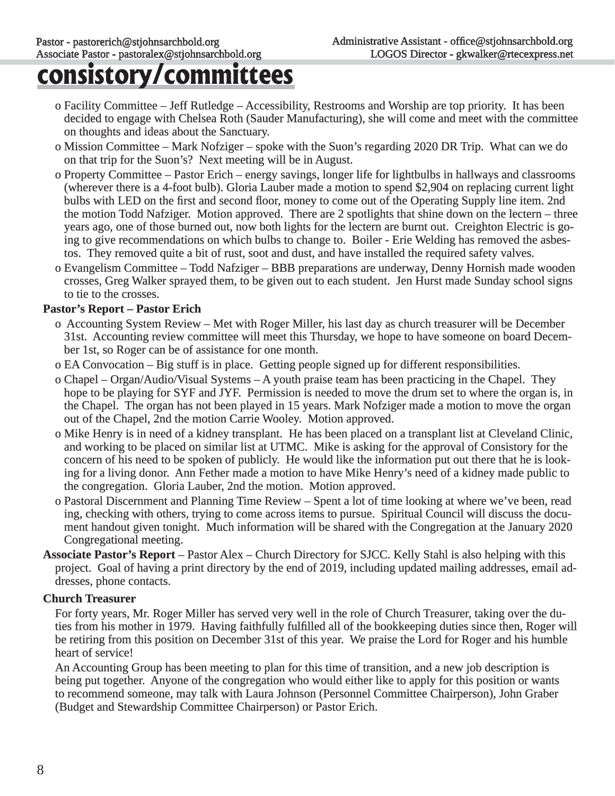### **consistory/committees**

- o Facility Committee Jeff Rutledge Accessibility, Restrooms and Worship are top priority. It has been decided to engage with Chelsea Roth (Sauder Manufacturing), she will come and meet with the committee on thoughts and ideas about the Sanctuary.
- o Mission Committee Mark Nofziger spoke with the Suon's regarding 2020 DR Trip. What can we do on that trip for the Suon's? Next meeting will be in August.
- o Property Committee Pastor Erich energy savings, longer life for lightbulbs in hallways and classrooms (wherever there is a 4-foot bulb). Gloria Lauber made a motion to spend \$2,904 on replacing current light bulbs with LED on the first and second floor, money to come out of the Operating Supply line item. 2nd the motion Todd Nafziger. Motion approved. There are 2 spotlights that shine down on the lectern – three years ago, one of those burned out, now both lights for the lectern are burnt out. Creighton Electric is going to give recommendations on which bulbs to change to. Boiler - Erie Welding has removed the asbestos. They removed quite a bit of rust, soot and dust, and have installed the required safety valves.
- o Evangelism Committee Todd Nafziger BBB preparations are underway, Denny Hornish made wooden crosses, Greg Walker sprayed them, to be given out to each student. Jen Hurst made Sunday school signs to tie to the crosses.

#### **Pastor's Report – Pastor Erich**

- o Accounting System Review Met with Roger Miller, his last day as church treasurer will be December 31st. Accounting review committee will meet this Thursday, we hope to have someone on board December 1st, so Roger can be of assistance for one month.
- o EA Convocation Big stuff is in place. Getting people signed up for different responsibilities.
- o Chapel Organ/Audio/Visual Systems A youth praise team has been practicing in the Chapel. They hope to be playing for SYF and JYF. Permission is needed to move the drum set to where the organ is, in the Chapel. The organ has not been played in 15 years. Mark Nofziger made a motion to move the organ out of the Chapel, 2nd the motion Carrie Wooley. Motion approved.
- o Mike Henry is in need of a kidney transplant. He has been placed on a transplant list at Cleveland Clinic, and working to be placed on similar list at UTMC. Mike is asking for the approval of Consistory for the concern of his need to be spoken of publicly. He would like the information put out there that he is look ing for a living donor. Ann Fether made a motion to have Mike Henry's need of a kidney made public to the congregation. Gloria Lauber, 2nd the motion. Motion approved.
- o Pastoral Discernment and Planning Time Review Spent a lot of time looking at where we've been, read ing, checking with others, trying to come across items to pursue. Spiritual Council will discuss the document handout given tonight. Much information will be shared with the Congregation at the January 2020 Congregational meeting.
- **Associate Pastor's Report** Pastor Alex Church Directory for SJCC. Kelly Stahl is also helping with this project. Goal of having a print directory by the end of 2019, including updated mailing addresses, email addresses, phone contacts.

#### **Church Treasurer**

For forty years, Mr. Roger Miller has served very well in the role of Church Treasurer, taking over the duties from his mother in 1979. Having faithfully fulfilled all of the bookkeeping duties since then, Roger will be retiring from this position on December 31st of this year. We praise the Lord for Roger and his humble heart of service!

An Accounting Group has been meeting to plan for this time of transition, and a new job description is being put together. Anyone of the congregation who would either like to apply for this position or wants to recommend someone, may talk with Laura Johnson (Personnel Committee Chairperson), John Graber (Budget and Stewardship Committee Chairperson) or Pastor Erich.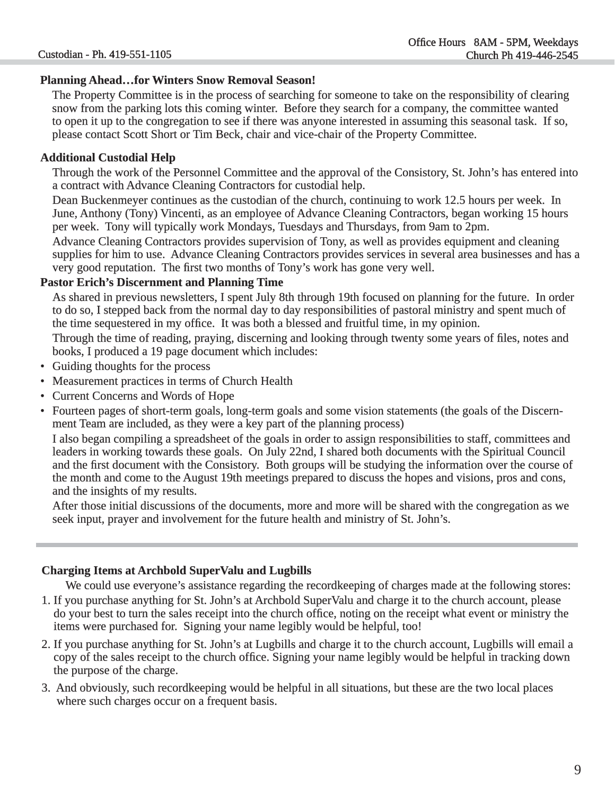#### **Planning Ahead…for Winters Snow Removal Season! lanning**

 The Property Committee is in the process of searching for someone to take on the responsibility of clearing snow from the parking lots this coming winter. Before they search for a company, the committee wanted to open it up to the congregation to see if there was anyone interested in assuming this seasonal task. If so, please contact Scott Short or Tim Beck, chair and vice-chair of the Property Committee.

#### **Additional Custodial Help**

Through the work of the Personnel Committee and the approval of the Consistory, St. John's has entered into hrough a contract with Advance Cleaning Contractors for custodial help.

Dean Buckenmeyer continues as the custodian of the church, continuing to work 12.5 hours per week. In June, Anthony (Tony) Vincenti, as an employee of Advance Cleaning Contractors, began working 15 hours per week. Tony will typically work Mondays, Tuesdays and Thursdays, from 9am to 2pm.

 Advance Cleaning Contractors provides supervision of Tony, as well as provides equipment and cleaning supplies for him to use. Advance Cleaning Contractors provides services in several area businesses and has a very good reputation. The first two months of Tony's work has gone very well.

#### **Pastor Erich's Discernment and Planning Time**

As shared in previous newsletters, I spent July 8th through 19th focused on planning for the future. In order to do so, I stepped back from the normal day to day responsibilities of pastoral ministry and spent much of the time sequestered in my office. It was both a blessed and fruitful time, in my opinion.

Through the time of reading, praying, discerning and looking through twenty some years of files, notes and books, I produced a 19 page document which includes:

- Guiding thoughts for the process
- Measurement practices in terms of Church Health
- Current Concerns and Words of Hope
- Fourteen pages of short-term goals, long-term goals and some vision statements (the goals of the Discernment Team are included, as they were a key part of the planning process)

 I also began compiling a spreadsheet of the goals in order to assign responsibilities to staff, committees and in order leaders in working towards these goals. On July 22nd, I shared both documents with the Spiritual Council and the first document with the Consistory. Both groups will be studying the information over the course of the month and come to the August 19th meetings prepared to discuss the hopes and visions, pros and cons, and the insights of my results.

After those initial discussions of the documents, more and more will be shared with the congregation as we seek input, prayer and involvement for the future health and ministry of St. John's.

#### **Charging Items at Archbold SuperValu and Lugbills harging**

We could use everyone's assistance regarding the recordkeeping of charges made at the following stores:

- 1. If you purchase anything for St. John's at Archbold SuperValu and charge it to the church account, please . do your best to turn the sales receipt into the church office, noting on the receipt what event or ministry the items were purchased for. Signing your name legibly would be helpful, too!
- 2. If you purchase anything for St. John's at Lugbills and charge it to the church account, Lugbills will email a copy of the sales receipt to the church office. Signing your name legibly would be helpful in tracking down the purpose of the charge.
- 3. And obviously, such recordkeeping would be helpful in all situations, but these are the two local places . where such charges occur on a frequent basis.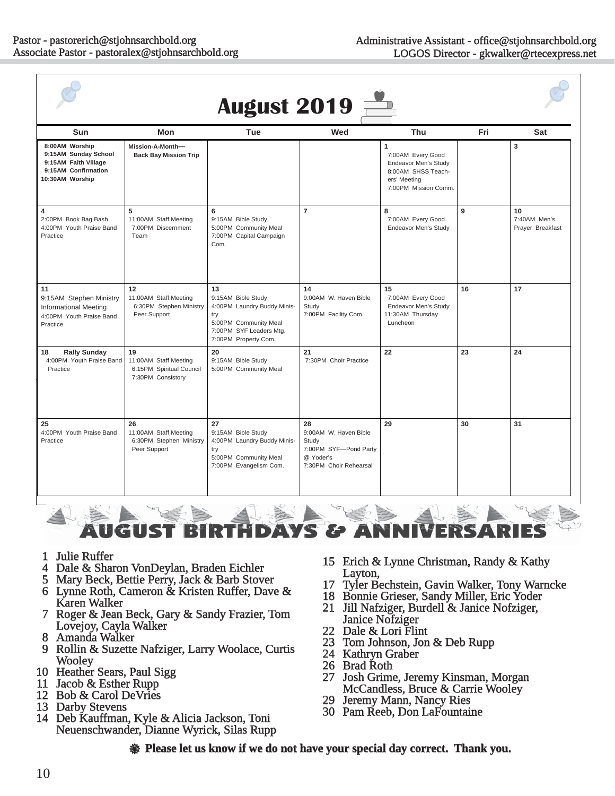| <b>August 2019</b>                                                                                       |                                                                              |                                                                                                                                            |                                                                                                      |                                                                                                              |     |                                        |
|----------------------------------------------------------------------------------------------------------|------------------------------------------------------------------------------|--------------------------------------------------------------------------------------------------------------------------------------------|------------------------------------------------------------------------------------------------------|--------------------------------------------------------------------------------------------------------------|-----|----------------------------------------|
| Sun                                                                                                      | <b>Mon</b>                                                                   | Tue                                                                                                                                        | Wed                                                                                                  | Thu                                                                                                          | Fri | Sat                                    |
| 8:00AM Worship<br>9:15AM Sunday School<br>9:15AM Faith Village<br>9:15AM Confirmation<br>10:30AM Worship | Mission-A-Month-<br><b>Back Bay Mission Trip</b>                             |                                                                                                                                            |                                                                                                      | 1<br>7:00AM Every Good<br>Endeavor Men's Study<br>8:00AM SHSS Teach-<br>ers' Meeting<br>7:00PM Mission Comm. |     | $\overline{\mathbf{3}}$                |
| $\overline{\mathbf{4}}$<br>2:00PM Book Bag Bash<br>4:00PM Youth Praise Band<br>Practice                  | 5<br>11:00AM Staff Meeting<br>7:00PM Discernment<br>Team                     | 6<br>9:15AM Bible Study<br>5:00PM Community Meal<br>7:00PM Capital Campaign<br>Com.                                                        | $\overline{7}$                                                                                       | 8<br>7:00AM Every Good<br>Endeavor Men's Study                                                               | 9   | 10<br>7:40AM Men's<br>Prayer Breakfast |
| 11<br>9:15AM Stephen Ministry<br><b>Informational Meeting</b><br>4:00PM Youth Praise Band<br>Practice    | 12<br>11:00AM Staff Meeting<br>6:30PM Stephen Ministry<br>Peer Support       | 13<br>9:15AM Bible Study<br>4:00PM Laundry Buddy Minis-<br>try<br>5:00PM Community Meal<br>7:00PM SYF Leaders Mtg.<br>7:00PM Property Com. | 14<br>9:00AM W. Haven Bible<br>Study<br>7:00PM Facility Com.                                         | 15<br>7:00AM Every Good<br>Endeavor Men's Study<br>11:30AM Thursday<br>Luncheon                              | 16  | 17                                     |
| 18<br><b>Rally Sunday</b><br>4:00PM Youth Praise Band<br>Practice                                        | 19<br>11:00AM Staff Meeting<br>6:15PM Spiritual Council<br>7:30PM Consistory | 20<br>9:15AM Bible Study<br>5:00PM Community Meal                                                                                          | 21<br>7:30PM Choir Practice                                                                          | 22                                                                                                           | 23  | 24                                     |
| 25<br>4:00PM Youth Praise Band<br>Practice                                                               | 26<br>11:00AM Staff Meeting<br>6:30PM Stephen Ministry<br>Peer Support       | 27<br>9:15AM Bible Study<br>4:00PM Laundry Buddy Minis-<br>try<br>5:00PM Community Meal<br>7:00PM Evangelism Com.                          | 28<br>9:00AM W. Haven Bible<br>Study<br>7:00PM SYF-Pond Party<br>@ Yoder's<br>7:30PM Choir Rehearsal | 29                                                                                                           | 30  | 31                                     |

AYS & i refl B n

- 
- 
- 
- 
- 
- 
- 1 Julie Ruffer<br>
4 Dale & Sharon VonDeylan, Braden Eichler<br>
5 Mary Beck, Bettie Perry, Jack & Barb Stover<br>
6 Lynne Roth, Cameron & Kristen Ruffer, Dave &<br>
Karen Walker<br>
7 Roger & Jean Beck, Gary & Sandy Frazier, Tom<br>
Lovejo
- 
- 
- 
- 
- 
- 15 Erich & Lynne Christman, Randy & Kathy<br>
Layton,<br>
17 Tyler Bechstein, Gavin Walker, Tony Warncke<br>
18 Bonnie Grieser, Sandy Miller, Eric Yoder<br>
21 Jill Nafziger, Burdell & Janice Nofziger,<br>
Janice Nofziger<br>
22 Dale & Lori
- -
- 
- 
- 
- 
- 
- 
- 
- 

**Solution 2** Flease let us know if we do not have your special day correct. Thank you.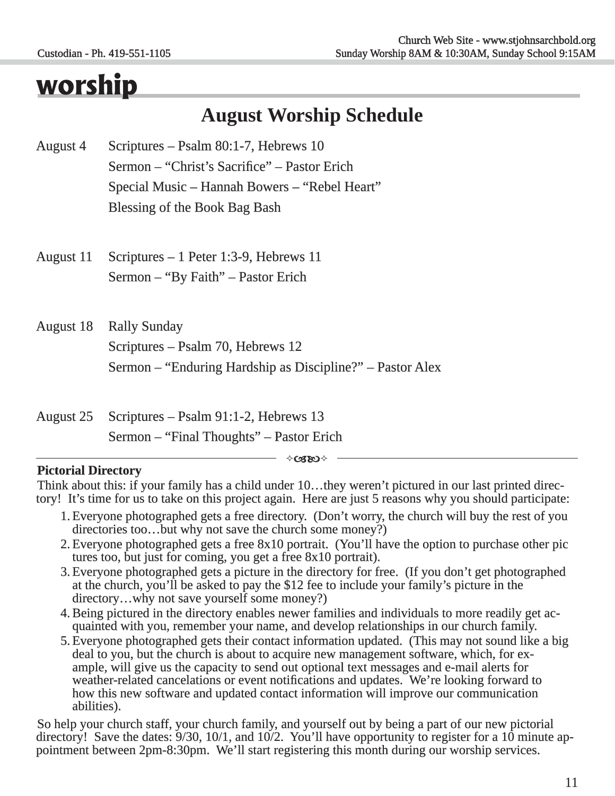### **worship**

### **August Worship Schedule**

- August 4 Scriptures Psalm 80:1-7, Hebrews 10 Sermon – "Christ's Sacrifice" – Pastor Erich Special Music – Hannah Bowers – "Rebel Heart" Blessing of the Book Bag Bash
- August 11 Scriptures 1 Peter 1:3-9, Hebrews 11 Sermon – "By Faith" – Pastor Erich
- August 18 Rally Sunday Scriptures – Psalm 70, Hebrews 12 Sermon – "Enduring Hardship as Discipline?" – Pastor Alex
- August 25 Scriptures Psalm 91:1-2, Hebrews 13 Sermon – "Final Thoughts" – Pastor Erich

 $\Diamond$ C330 $\Diamond$ 

#### **Pictorial Directory ictorial**

Think about this: if your family has a child under 10...they weren't pictured in our last printed directory! It's time for us to take on this project again. Here are just 5 reasons why you should participate:

- 1. Everyone photographed gets a free directory. (Don't worry, the church will buy the rest of you directories too…but why not save the church some money?)
- 2. Everyone photographed gets a free 8x10 portrait. (You'll have the option to purchase other pic tures too, but just for coming, you get a free  $8x10$  portrait).
- 3. Everyone photographed gets a picture in the directory for free. (If you don't get photographed at the church, you'll be asked to pay the \$12 fee to include your family's picture in the  $directory...why not save yourself some money?)$
- 4. Being pictured in the directory enables newer families and individuals to more readily get ac- quainted with you, remember your name, and develop relationships in our church family. develop relationships family.
- 5. Everyone photographed gets their contact information updated. (This may not sound like a big deal to you, but the church is about to acquire new management software, which, for example, will give us the capacity to send weather-related cancelations or event notifications and updates. We're looking forward to how this new software and updated contact information will improve our communication abilities).

So help your church staff, your church family, and yourself out by being a part of our new pictorial directory! Save the dates:  $9/30$ ,  $10/1$ , and  $10/2$ . You'll have opportunity to register for a  $10$  minute appointment between  $2pm-8:30pm$ . We'll start registering this month during our worship services.